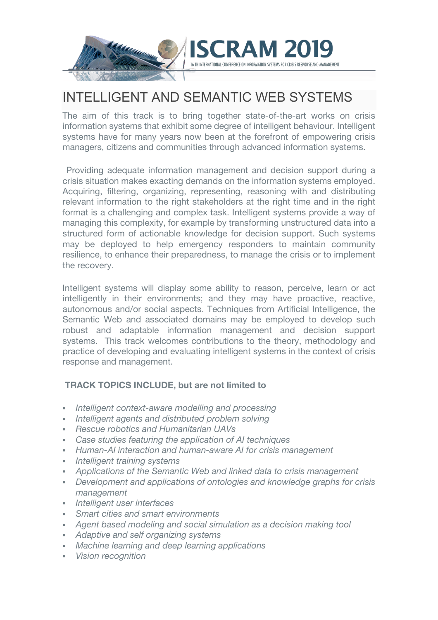

# INTELLIGENT AND SEMANTIC WEB SYSTEMS

The aim of this track is to bring together state-of-the-art works on crisis information systems that exhibit some degree of intelligent behaviour. Intelligent systems have for many years now been at the forefront of empowering crisis managers, citizens and communities through advanced information systems.

Providing adequate information management and decision support during a crisis situation makes exacting demands on the information systems employed. Acquiring, filtering, organizing, representing, reasoning with and distributing relevant information to the right stakeholders at the right time and in the right format is a challenging and complex task. Intelligent systems provide a way of managing this complexity, for example by transforming unstructured data into a structured form of actionable knowledge for decision support. Such systems may be deployed to help emergency responders to maintain community resilience, to enhance their preparedness, to manage the crisis or to implement the recovery.

Intelligent systems will display some ability to reason, perceive, learn or act intelligently in their environments; and they may have proactive, reactive, autonomous and/or social aspects. Techniques from Artificial Intelligence, the Semantic Web and associated domains may be employed to develop such robust and adaptable information management and decision support systems. This track welcomes contributions to the theory, methodology and practice of developing and evaluating intelligent systems in the context of crisis response and management.

# **TRACK TOPICS INCLUDE, but are not limited to**

- § *Intelligent context-aware modelling and processing*
- § *Intelligent agents and distributed problem solving*
- § *Rescue robotics and Humanitarian UAVs*
- § *Case studies featuring the application of AI techniques*
- § *Human-AI interaction and human-aware AI for crisis management*
- § *Intelligent training systems*
- § *Applications of the Semantic Web and linked data to crisis management*
- § *Development and applications of ontologies and knowledge graphs for crisis management*
- § *Intelligent user interfaces*
- § *Smart cities and smart environments*
- § *Agent based modeling and social simulation as a decision making tool*
- § *Adaptive and self organizing systems*
- § *Machine learning and deep learning applications*
- § *Vision recognition*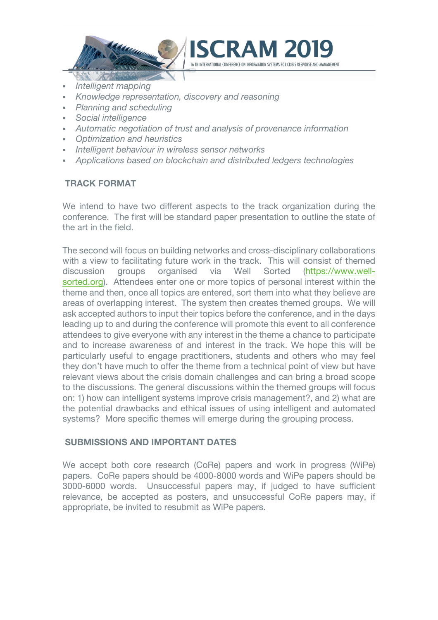

- § *Intelligent mapping*
- § *Knowledge representation, discovery and reasoning*
- § *Planning and scheduling*
- § *Social intelligence*
- § *Automatic negotiation of trust and analysis of provenance information*

RAN

- § *Optimization and heuristics*
- § *Intelligent behaviour in wireless sensor networks*
- § *Applications based on blockchain and distributed ledgers technologies*

## **TRACK FORMAT**

We intend to have two different aspects to the track organization during the conference. The first will be standard paper presentation to outline the state of the art in the field.

The second will focus on building networks and cross-disciplinary collaborations with a view to facilitating future work in the track. This will consist of themed discussion groups organised via Well Sorted (https://www.wellsorted.org). Attendees enter one or more topics of personal interest within the theme and then, once all topics are entered, sort them into what they believe are areas of overlapping interest. The system then creates themed groups. We will ask accepted authors to input their topics before the conference, and in the days leading up to and during the conference will promote this event to all conference attendees to give everyone with any interest in the theme a chance to participate and to increase awareness of and interest in the track. We hope this will be particularly useful to engage practitioners, students and others who may feel they don't have much to offer the theme from a technical point of view but have relevant views about the crisis domain challenges and can bring a broad scope to the discussions. The general discussions within the themed groups will focus on: 1) how can intelligent systems improve crisis management?, and 2) what are the potential drawbacks and ethical issues of using intelligent and automated systems? More specific themes will emerge during the grouping process.

## **SUBMISSIONS AND IMPORTANT DATES**

We accept both core research (CoRe) papers and work in progress (WiPe) papers. CoRe papers should be 4000-8000 words and WiPe papers should be 3000-6000 words. Unsuccessful papers may, if judged to have sufficient relevance, be accepted as posters, and unsuccessful CoRe papers may, if appropriate, be invited to resubmit as WiPe papers.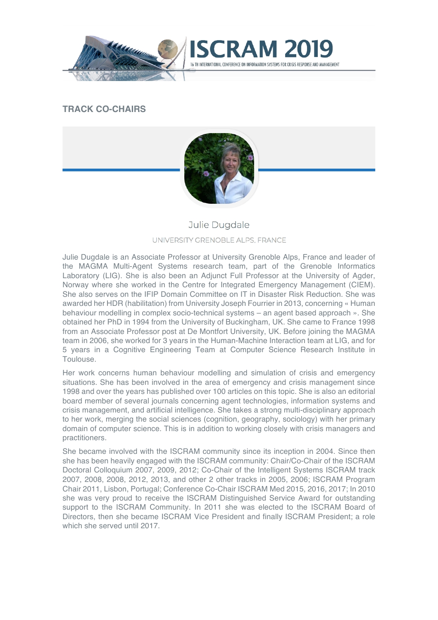

# **TRACK CO-CHAIRS**



# Julie Dugdale

#### UNIVERSITY GRENOBLE ALPS, FRANCE

Julie Dugdale is an Associate Professor at University Grenoble Alps, France and leader of the MAGMA Multi-Agent Systems research team, part of the Grenoble Informatics Laboratory (LIG). She is also been an Adjunct Full Professor at the University of Agder, Norway where she worked in the Centre for Integrated Emergency Management (CIEM). She also serves on the IFIP Domain Committee on IT in Disaster Risk Reduction. She was awarded her HDR (habilitation) from University Joseph Fourrier in 2013, concerning « Human behaviour modelling in complex socio-technical systems – an agent based approach ». She obtained her PhD in 1994 from the University of Buckingham, UK. She came to France 1998 from an Associate Professor post at De Montfort University, UK. Before joining the MAGMA team in 2006, she worked for 3 years in the Human-Machine Interaction team at LIG, and for 5 years in a Cognitive Engineering Team at Computer Science Research Institute in Toulouse.

Her work concerns human behaviour modelling and simulation of crisis and emergency situations. She has been involved in the area of emergency and crisis management since 1998 and over the years has published over 100 articles on this topic. She is also an editorial board member of several journals concerning agent technologies, information systems and crisis management, and artificial intelligence. She takes a strong multi-disciplinary approach to her work, merging the social sciences (cognition, geography, sociology) with her primary domain of computer science. This is in addition to working closely with crisis managers and practitioners.

She became involved with the ISCRAM community since its inception in 2004. Since then she has been heavily engaged with the ISCRAM community: Chair/Co-Chair of the ISCRAM Doctoral Colloquium 2007, 2009, 2012; Co-Chair of the Intelligent Systems ISCRAM track 2007, 2008, 2008, 2012, 2013, and other 2 other tracks in 2005, 2006; ISCRAM Program Chair 2011, Lisbon, Portugal; Conference Co-Chair ISCRAM Med 2015, 2016, 2017; In 2010 she was very proud to receive the ISCRAM Distinguished Service Award for outstanding support to the ISCRAM Community. In 2011 she was elected to the ISCRAM Board of Directors, then she became ISCRAM Vice President and finally ISCRAM President; a role which she served until 2017.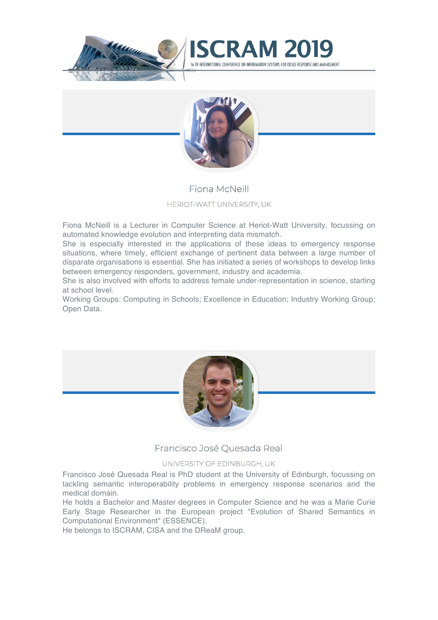



# Fiona McNeill

### HERIOT-WATT UNIVERSITY, UK

Fiona McNeill is a Lecturer in Computer Science at Heriot-Watt University, focussing on automated knowledge evolution and interpreting data mismatch.

She is especially interested in the applications of these ideas to emergency response situations, where timely, efficient exchange of pertinent data between a large number of disparate organisations is essential. She has initiated a series of workshops to develop links between emergency responders, government, industry and academia.

She is also involved with efforts to address female under-representation in science, starting at school level.

Working Groups: Computing in Schools; Excellence in Education; Industry Working Group; Open Data.



Francisco José Quesada Real

#### UNIVERSITY OF EDINBURGH, UK

Francisco José Quesada Real is PhD student at the University of Edinburgh, focussing on tackling semantic interoperability problems in emergency response scenarios and the medical domain.

He holds a Bachelor and Master degrees in Computer Science and he was a Marie Curie Early Stage Researcher in the European project "Evolution of Shared Semantics in Computational Environment" (ESSENCE).

He belongs to ISCRAM, CISA and the DReaM group.